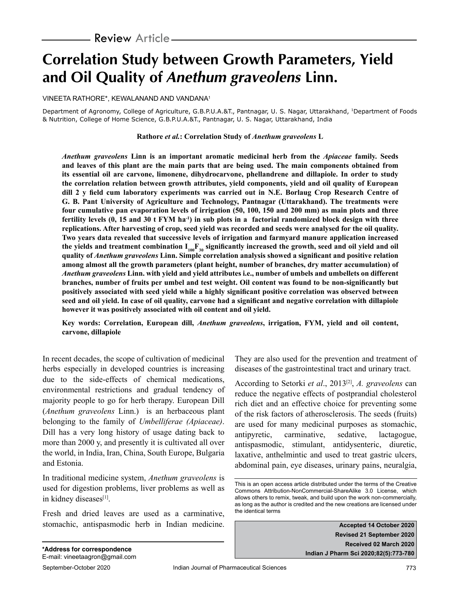# **Correlation Study between Growth Parameters, Yield and Oil Quality of Anethum graveolens Linn.**

VINEETA RATHORE\*, KEWALANAND AND VANDANA1

Department of Agronomy, College of Agriculture, G.B.P.U.A.&T., Pantnagar, U. S. Nagar, Uttarakhand, 1Department of Foods & Nutrition, College of Home Science, G.B.P.U.A.&T., Pantnagar, U. S. Nagar, Uttarakhand, India

# **Rathore** *et al.***: Correlation Study of** *Anethum graveolens* **L**

*Anethum graveolens* **Linn is an important aromatic medicinal herb from the** *Apiaceae* **family. Seeds and leaves of this plant are the main parts that are being used. The main components obtained from its essential oil are carvone, limonene, dihydrocarvone, phellandrene and dillapiole. In order to study the correlation relation between growth attributes, yield components, yield and oil quality of European dill 2 y field cum laboratory experiments was carried out in N.E. Borlaug Crop Research Centre of G. B. Pant University of Agriculture and Technology, Pantnagar (Uttarakhand). The treatments were four cumulative pan evaporation levels of irrigation (50, 100, 150 and 200 mm) as main plots and three fertility levels (0, 15 and 30 t FYM ha-1) in sub plots in a factorial randomized block design with three replications. After harvesting of crop, seed yield was recorded and seeds were analysed for the oil quality. Two years data revealed that successive levels of irrigation and farmyard manure application increased**  the yields and treatment combination  $I_{100}F_{30}$  significantly increased the growth, seed and oil yield and oil **quality of** *Anethum graveolens* **Linn. Simple correlation analysis showed a significant and positive relation among almost all the growth parameters (plant height, number of branches, dry matter accumulation) of**  *Anethum graveolens* **Linn. with yield and yield attributes i.e., number of umbels and umbellets on different branches, number of fruits per umbel and test weight. Oil content was found to be non-significantly but positively associated with seed yield while a highly significant positive correlation was observed between seed and oil yield. In case of oil quality, carvone had a significant and negative correlation with dillapiole however it was positively associated with oil content and oil yield.**

**Key words: Correlation, European dill,** *Anethum graveolens***, irrigation, FYM, yield and oil content, carvone, dillapiole**

In recent decades, the scope of cultivation of medicinal herbs especially in developed countries is increasing due to the side-effects of chemical medications, environmental restrictions and gradual tendency of majority people to go for herb therapy. European Dill (*Anethum graveolens* Linn.) is an herbaceous plant belonging to the family of *Umbelliferae (Apiaceae)*. Dill has a very long history of usage dating back to more than 2000 y, and presently it is cultivated all over the world, in India, Iran, China, South Europe, Bulgaria and Estonia.

In traditional medicine system, *Anethum graveolens* is used for digestion problems, liver problems as well as in kidney diseases<sup>[1]</sup>.

Fresh and dried leaves are used as a carminative, stomachic, antispasmodic herb in Indian medicine. They are also used for the prevention and treatment of diseases of the gastrointestinal tract and urinary tract.

According to Setorki *et al*., 2013[2], *A. graveolens* can reduce the negative effects of postprandial cholesterol rich diet and an effective choice for preventing some of the risk factors of atherosclerosis. The seeds (fruits) are used for many medicinal purposes as stomachic, antipyretic, carminative, sedative, lactagogue, antispasmodic, stimulant, antidysenteric, diuretic, laxative, anthelmintic and used to treat gastric ulcers, abdominal pain, eye diseases, urinary pains, neuralgia,

**Accepted 14 October 2020 Revised 21 September 2020 Received 02 March 2020 Indian J Pharm Sci 2020;82(5):773-780**

This is an open access article distributed under the terms of the Creative Commons Attribution-NonCommercial-ShareAlike 3.0 License, which allows others to remix, tweak, and build upon the work non-commercially, as long as the author is credited and the new creations are licensed under the identical terms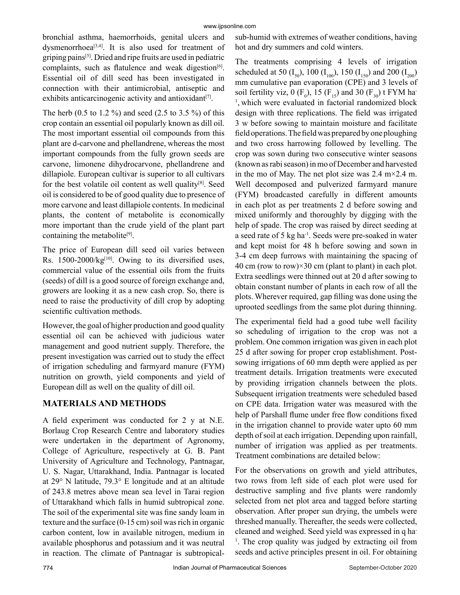bronchial asthma, haemorrhoids, genital ulcers and dysmenorrhoea<sup>[3,4]</sup>. It is also used for treatment of griping pains[5]. Dried and ripe fruits are used in pediatric complaints, such as flatulence and weak digestion $[6]$ . Essential oil of dill seed has been investigated in connection with their antimicrobial, antiseptic and exhibits anticarcinogenic activity and antioxidant<sup>[7]</sup>.

The herb (0.5 to 1.2 %) and seed (2.5 to 3.5 %) of this crop contain an essential oil popularly known as dill oil. The most important essential oil compounds from this plant are d-carvone and phellandrene, whereas the most important compounds from the fully grown seeds are carvone, limonene dihydrocarvone, phellandrene and dillapiole. European cultivar is superior to all cultivars for the best volatile oil content as well quality[8]. Seed oil is considered to be of good quality due to presence of more carvone and least dillapiole contents. In medicinal plants, the content of metabolite is economically more important than the crude yield of the plant part containing the metabolite<sup>[9]</sup>.

The price of European dill seed oil varies between Rs.  $1500-2000/kg^{[10]}$ . Owing to its diversified uses, commercial value of the essential oils from the fruits (seeds) of dill is a good source of foreign exchange and, growers are looking it as a new cash crop. So, there is need to raise the productivity of dill crop by adopting scientific cultivation methods.

However, the goal of higher production and good quality essential oil can be achieved with judicious water management and good nutrient supply. Therefore, the present investigation was carried out to study the effect of irrigation scheduling and farmyard manure (FYM) nutrition on growth, yield components and yield of European dill as well on the quality of dill oil.

# **MATERIALS AND METHODS**

A field experiment was conducted for 2 y at N.E. Borlaug Crop Research Centre and laboratory studies were undertaken in the department of Agronomy, College of Agriculture, respectively at G. B. Pant University of Agriculture and Technology, Pantnagar, U. S. Nagar, Uttarakhand, India. Pantnagar is located at 29° N latitude, 79.3° E longitude and at an altitude of 243.8 metres above mean sea level in Tarai region of Uttarakhand which falls in humid subtropical zone. The soil of the experimental site was fine sandy loam in texture and the surface (0-15 cm) soil was rich in organic carbon content, low in available nitrogen, medium in available phosphorus and potassium and it was neutral in reaction. The climate of Pantnagar is subtropicalsub-humid with extremes of weather conditions, having hot and dry summers and cold winters.

The treatments comprising 4 levels of irrigation scheduled at 50  $(I_{50})$ , 100  $(I_{100})$ , 150  $(I_{150})$  and 200  $(I_{200})$ mm cumulative pan evaporation (CPE) and 3 levels of soil fertility viz, 0 ( $F_0$ ), 15 ( $F_{15}$ ) and 30 ( $F_{30}$ ) t FYM ha <sup>1</sup>, which were evaluated in factorial randomized block design with three replications. The field was irrigated 3 w before sowing to maintain moisture and facilitate field operations. The field was prepared by one ploughing and two cross harrowing followed by levelling. The crop was sown during two consecutive winter seasons (known as rabi season) in mo of December and harvested in the mo of May. The net plot size was 2.4 m $\times$ 2.4 m. Well decomposed and pulverized farmyard manure (FYM) broadcasted carefully in different amounts in each plot as per treatments 2 d before sowing and mixed uniformly and thoroughly by digging with the help of spade. The crop was raised by direct seeding at a seed rate of 5 kg ha-1. Seeds were pre-soaked in water and kept moist for 48 h before sowing and sown in 3-4 cm deep furrows with maintaining the spacing of 40 cm (row to row) $\times$ 30 cm (plant to plant) in each plot. Extra seedlings were thinned out at 20 d after sowing to obtain constant number of plants in each row of all the plots. Wherever required, gap filling was done using the uprooted seedlings from the same plot during thinning.

The experimental field had a good tube well facility so scheduling of irrigation to the crop was not a problem. One common irrigation was given in each plot 25 d after sowing for proper crop establishment. Postsowing irrigations of 60 mm depth were applied as per treatment details. Irrigation treatments were executed by providing irrigation channels between the plots. Subsequent irrigation treatments were scheduled based on CPE data. Irrigation water was measured with the help of Parshall flume under free flow conditions fixed in the irrigation channel to provide water upto 60 mm depth of soil at each irrigation. Depending upon rainfall, number of irrigation was applied as per treatments. Treatment combinations are detailed below:

For the observations on growth and yield attributes, two rows from left side of each plot were used for destructive sampling and five plants were randomly selected from net plot area and tagged before starting observation. After proper sun drying, the umbels were threshed manually. Thereafter, the seeds were collected, cleaned and weighed. Seed yield was expressed in q ha-<sup>1</sup>. The crop quality was judged by extracting oil from seeds and active principles present in oil. For obtaining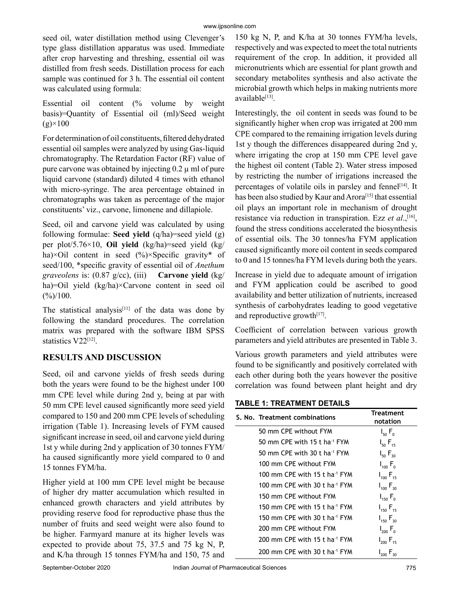seed oil, water distillation method using Clevenger's type glass distillation apparatus was used. Immediate after crop harvesting and threshing, essential oil was distilled from fresh seeds. Distillation process for each sample was continued for 3 h. The essential oil content was calculated using formula:

Essential oil content (% volume by weight basis)=Quantity of Essential oil (ml)/Seed weight  $(g) \times 100$ 

For determination of oil constituents, filtered dehydrated essential oil samples were analyzed by using Gas-liquid chromatography. The Retardation Factor (RF) value of pure carvone was obtained by injecting  $0.2 \mu$  ml of pure liquid carvone (standard) diluted 4 times with ethanol with micro-syringe. The area percentage obtained in chromatographs was taken as percentage of the major constituents' viz., carvone, limonene and dillapiole.

Seed, oil and carvone yield was calculated by using following formulae: **Seed yield** (q/ha)=seed yield (g) per plot/5.76×10, **Oil yield** (kg/ha)=seed yield (kg/ ha) $\times$ Oil content in seed (%) $\times$ Specific gravity\* of seed/100, \*specific gravity of essential oil of *Anethum graveolens* is: (0.87 g/cc), (iii) **Carvone yield** (kg/ ha)=Oil yield (kg/ha)×Carvone content in seed oil  $(\frac{\%}{100})$ .

The statistical analysis<sup>[11]</sup> of the data was done by following the standard procedures. The correlation matrix was prepared with the software IBM SPSS statistics V22[12].

# **RESULTS AND DISCUSSION**

Seed, oil and carvone yields of fresh seeds during both the years were found to be the highest under 100 mm CPE level while during 2nd y, being at par with 50 mm CPE level caused significantly more seed yield compared to 150 and 200 mm CPE levels of scheduling irrigation (Table 1). Increasing levels of FYM caused significant increase in seed, oil and carvone yield during 1st y while during 2nd y application of 30 tonnes FYM/ ha caused significantly more yield compared to 0 and 15 tonnes FYM/ha.

Higher yield at 100 mm CPE level might be because of higher dry matter accumulation which resulted in enhanced growth characters and yield attributes by providing reserve food for reproductive phase thus the number of fruits and seed weight were also found to be higher. Farmyard manure at its higher levels was expected to provide about 75, 37.5 and 75 kg N, P, and K/ha through 15 tonnes FYM/ha and 150, 75 and

150 kg N, P, and K/ha at 30 tonnes FYM/ha levels, respectively and was expected to meet the total nutrients requirement of the crop. In addition, it provided all micronutrients which are essential for plant growth and secondary metabolites synthesis and also activate the microbial growth which helps in making nutrients more available[13].

Interestingly, the oil content in seeds was found to be significantly higher when crop was irrigated at 200 mm CPE compared to the remaining irrigation levels during 1st y though the differences disappeared during 2nd y, where irrigating the crop at 150 mm CPE level gave the highest oil content (Table 2). Water stress imposed by restricting the number of irrigations increased the percentages of volatile oils in parsley and fennel<sup>[14]</sup>. It has been also studied by Kaur and Arora<sup>[15]</sup> that essential oil plays an important role in mechanism of drought resistance via reduction in transpiration. Ezz *et al.*,<sup>[16]</sup>, found the stress conditions accelerated the biosynthesis of essential oils. The 30 tonnes/ha FYM application caused significantly more oil content in seeds compared to 0 and 15 tonnes/ha FYM levels during both the years.

Increase in yield due to adequate amount of irrigation and FYM application could be ascribed to good availability and better utilization of nutrients, increased synthesis of carbohydrates leading to good vegetative and reproductive growth $[17]$ .

Coefficient of correlation between various growth parameters and yield attributes are presented in Table 3.

Various growth parameters and yield attributes were found to be significantly and positively correlated with each other during both the years however the positive correlation was found between plant height and dry

# **TABLE 1: TREATMENT DETAILS**

| S. No. Treatment combinations             | Treatment<br>notation |
|-------------------------------------------|-----------------------|
| 50 mm CPE without FYM                     | $I_{50}F_{0}$         |
| 50 mm CPE with 15 t ha <sup>-1</sup> FYM  | $I_{50} F_{15}$       |
| 50 mm CPE with 30 t ha <sup>-1</sup> FYM  | $I_{50} F_{30}$       |
| 100 mm CPE without FYM                    | $I_{100} F_{0}$       |
| 100 mm CPE with 15 t ha <sup>-1</sup> FYM | $I_{100} F_{15}$      |
| 100 mm CPE with 30 t ha <sup>-1</sup> FYM | $I_{100} F_{30}$      |
| 150 mm CPE without FYM                    | $I_{150} F_{0}$       |
| 150 mm CPE with 15 t ha <sup>-1</sup> FYM | $I_{150} F_{15}$      |
| 150 mm CPE with 30 t ha <sup>-1</sup> FYM | $I_{150} F_{30}$      |
| 200 mm CPE without FYM                    | $I_{200} F_{0}$       |
| 200 mm CPE with 15 t ha $1$ FYM           | $I_{200} F_{15}$      |
| 200 mm CPE with 30 t ha <sup>-1</sup> FYM | $I_{200} F_{30}$      |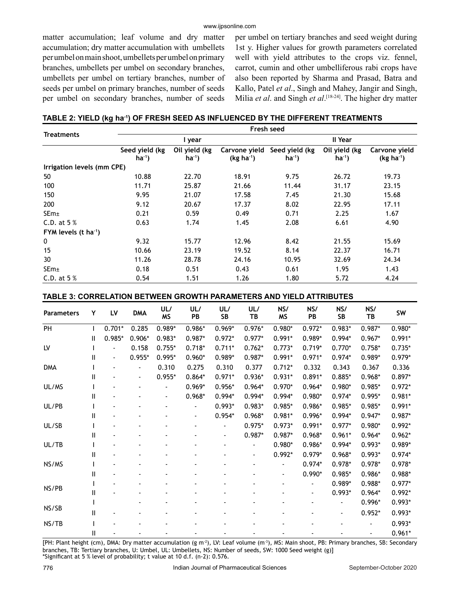matter accumulation; leaf volume and dry matter accumulation; dry matter accumulation with umbellets per umbel on main shoot, umbellets per umbel on primary branches, umbellets per umbel on secondary branches, umbellets per umbel on tertiary branches, number of seeds per umbel on primary branches, number of seeds per umbel on secondary branches, number of seeds per umbel on tertiary branches and seed weight during 1st y. Higher values for growth parameters correlated well with yield attributes to the crops viz. fennel, carrot, cumin and other umbelliferous rabi crops have also been reported by Sharma and Prasad, Batra and Kallo, Patel *et al*., Singh and Mahey, Jangir and Singh, Milia *et al*. and Singh *et al*. [18-24]. The higher dry matter

|  |  |  | TABLE 2: YIELD (kg ha <sup>.</sup> ') OF FRESH SEED AS INFLUENCED BY THE DIFFERENT TREATMENTS |
|--|--|--|-----------------------------------------------------------------------------------------------|
|--|--|--|-----------------------------------------------------------------------------------------------|

|                                  | Fresh seed                  |                              |                              |                             |                            |                              |  |  |  |  |  |
|----------------------------------|-----------------------------|------------------------------|------------------------------|-----------------------------|----------------------------|------------------------------|--|--|--|--|--|
| <b>Treatments</b>                |                             | I year                       |                              |                             | II Year                    |                              |  |  |  |  |  |
|                                  | Seed yield (kg<br>$ha^{-1}$ | Oil yield (kg<br>$ha^{-1}$ ) | Carvone yield<br>$(kg ha-1)$ | Seed yield (kg<br>$ha^{-1}$ | Oil yield (kg<br>$ha^{-1}$ | Carvone yield<br>$(kg ha-1)$ |  |  |  |  |  |
| Irrigation levels (mm CPE)       |                             |                              |                              |                             |                            |                              |  |  |  |  |  |
| 50                               | 10.88                       | 22.70                        | 18.91                        | 9.75                        | 26.72                      | 19.73                        |  |  |  |  |  |
| 100                              | 11.71                       | 25.87                        | 21.66                        | 11.44                       | 31.17                      | 23.15                        |  |  |  |  |  |
| 150                              | 9.95                        | 21.07                        | 17.58                        | 7.45                        | 21.30                      | 15.68                        |  |  |  |  |  |
| 200                              | 9.12                        | 20.67                        | 17.37                        | 8.02                        | 22.95                      | 17.11                        |  |  |  |  |  |
| SEm <sub>±</sub>                 | 0.21                        | 0.59                         | 0.49                         | 0.71                        | 2.25                       | 1.67                         |  |  |  |  |  |
| C.D. at $5%$                     | 0.63                        | 1.74                         | 1.45                         | 2.08                        | 6.61                       | 4.90                         |  |  |  |  |  |
| FYM levels $(t \text{ ha}^{-1})$ |                             |                              |                              |                             |                            |                              |  |  |  |  |  |
| 0                                | 9.32                        | 15.77                        | 12.96                        | 8.42                        | 21.55                      | 15.69                        |  |  |  |  |  |
| 15                               | 10.66                       | 23.19                        | 19.52                        | 8.14                        | 22.37                      | 16.71                        |  |  |  |  |  |
| 30                               | 11.26                       | 28.78                        | 24.16                        | 10.95                       | 32.69                      | 24.34                        |  |  |  |  |  |
| SEm <sub>±</sub>                 | 0.18                        | 0.51                         | 0.43                         | 0.61                        | 1.95                       | 1.43                         |  |  |  |  |  |
| C.D. at $5%$                     | 0.54                        | 1.51                         | 1.26                         | 1.80                        | 5.72                       | 4.24                         |  |  |  |  |  |

## **TABLE 3: CORRELATION BETWEEN GROWTH PARAMETERS AND YIELD ATTRIBUTES**

| <b>Parameters</b> | Υ            | LV       | <b>DMA</b> | UL/<br><b>MS</b> | UL/<br>PB | UL/<br>SB      | UL/<br>TВ | NS/<br>ΜS      | NS/<br>PB | NS/<br>SB | NS/<br>ТB | SW       |
|-------------------|--------------|----------|------------|------------------|-----------|----------------|-----------|----------------|-----------|-----------|-----------|----------|
| PH                |              | $0.701*$ | 0.285      | $0.989*$         | $0.986*$  | $0.969*$       | $0.976*$  | $0.980*$       | $0.972*$  | $0.983*$  | $0.987*$  | $0.980*$ |
|                   | Ш            | 0.985*   | $0.906*$   | $0.983*$         | $0.987*$  | $0.972*$       | $0.977*$  | $0.991*$       | 0.989*    | $0.994*$  | $0.967*$  | $0.991*$ |
| LV                |              |          | 0.158      | $0.755*$         | $0.718*$  | $0.711*$       | $0.762*$  | $0.773*$       | $0.719*$  | $0.770*$  | $0.758*$  | $0.735*$ |
|                   | Ш            | -        | $0.955*$   | $0.995*$         | $0.960*$  | 0.989*         | $0.987*$  | $0.991*$       | $0.971*$  | $0.974*$  | $0.989*$  | $0.979*$ |
| <b>DMA</b>        |              |          |            | 0.310            | 0.275     | 0.310          | 0.377     | $0.712*$       | 0.332     | 0.343     | 0.367     | 0.336    |
|                   | Ш            |          |            | $0.955*$         | $0.864*$  | $0.971*$       | $0.936*$  | $0.931*$       | $0.891*$  | $0.885*$  | $0.968*$  | $0.897*$ |
| UL/MS             |              |          |            |                  | $0.969*$  | $0.956*$       | $0.964*$  | $0.970*$       | $0.964*$  | $0.980*$  | $0.985*$  | $0.972*$ |
|                   | Ш            |          |            |                  | $0.968*$  | $0.994*$       | $0.994*$  | $0.994*$       | $0.980*$  | $0.974*$  | 0.995*    | $0.981*$ |
| UL/PB             |              |          |            |                  |           | $0.993*$       | $0.983*$  | $0.985*$       | 0.986*    | $0.985*$  | $0.985*$  | $0.991*$ |
|                   | Ш            |          |            |                  |           | $0.954*$       | $0.968*$  | $0.981*$       | $0.996*$  | $0.994*$  | $0.947*$  | $0.987*$ |
| UL/SB             |              |          |            |                  |           | $\frac{1}{2}$  | $0.975*$  | $0.973*$       | $0.991*$  | $0.977*$  | $0.980*$  | $0.992*$ |
|                   | $\mathbf{I}$ |          |            |                  |           | $\overline{a}$ | $0.987*$  | $0.987*$       | $0.968*$  | $0.961*$  | $0.964*$  | $0.962*$ |
| UL/TB             |              |          |            |                  |           |                |           | $0.980*$       | $0.986*$  | $0.994*$  | $0.993*$  | 0.989*   |
|                   | Ш            |          |            |                  |           |                |           | $0.992*$       | $0.979*$  | $0.968*$  | $0.993*$  | $0.974*$ |
| NS/MS             |              |          |            |                  |           |                |           | $\overline{a}$ | $0.974*$  | $0.978*$  | $0.978*$  | $0.978*$ |
|                   | Ш            |          |            |                  |           |                |           |                | $0.990*$  | 0.985*    | $0.986*$  | 0.988*   |
|                   |              |          |            |                  |           |                |           |                |           | $0.989*$  | $0.988*$  | $0.977*$ |
| NS/PB             | Ш            |          |            |                  |           |                |           |                |           | $0.993*$  | $0.964*$  | $0.992*$ |
|                   |              |          |            |                  |           |                |           |                |           |           | $0.996*$  | $0.993*$ |
| NS/SB             | Ш            |          |            |                  |           |                |           |                |           |           | $0.952*$  | $0.993*$ |
| NS/TB             |              |          |            |                  |           |                |           |                |           |           |           | $0.993*$ |
|                   | Ш            |          |            |                  |           |                |           |                |           |           |           | $0.961*$ |

[PH: Plant height (cm), DMA: Dry matter accumulation (g m<sup>-2</sup>), LV: Leaf volume (m<sup>-3</sup>), MS: Main shoot, PB: Primary branches, SB: Secondary branches, TB: Tertiary branches, U: Umbel, UL: Umbellets, NS: Number of seeds, SW: 1000 Seed weight (g)] \*Significant at 5 % level of probability; t value at 10 d.f. (n-2): 0.576.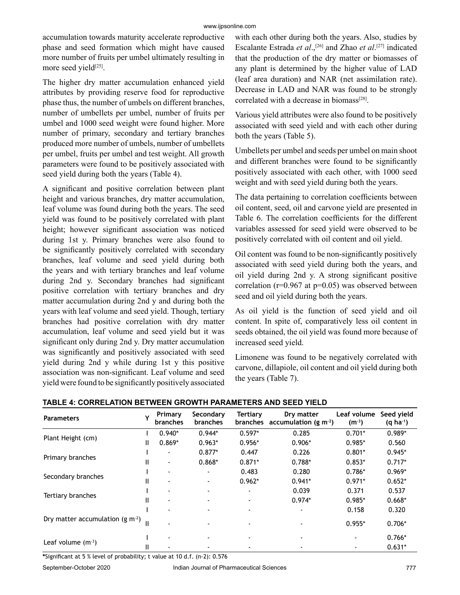accumulation towards maturity accelerate reproductive phase and seed formation which might have caused more number of fruits per umbel ultimately resulting in more seed yield<sup>[25]</sup>.

The higher dry matter accumulation enhanced yield attributes by providing reserve food for reproductive phase thus, the number of umbels on different branches, number of umbellets per umbel, number of fruits per umbel and 1000 seed weight were found higher. More number of primary, secondary and tertiary branches produced more number of umbels, number of umbellets per umbel, fruits per umbel and test weight. All growth parameters were found to be positively associated with seed yield during both the years (Table 4).

A significant and positive correlation between plant height and various branches, dry matter accumulation, leaf volume was found during both the years. The seed yield was found to be positively correlated with plant height; however significant association was noticed during 1st y. Primary branches were also found to be significantly positively correlated with secondary branches, leaf volume and seed yield during both the years and with tertiary branches and leaf volume during 2nd y. Secondary branches had significant positive correlation with tertiary branches and dry matter accumulation during 2nd y and during both the years with leaf volume and seed yield. Though, tertiary branches had positive correlation with dry matter accumulation, leaf volume and seed yield but it was significant only during 2nd y. Dry matter accumulation was significantly and positively associated with seed yield during 2nd y while during 1st y this positive association was non-significant. Leaf volume and seed yield were found to be significantly positively associated with each other during both the years. Also, studies by Escalante Estrada *et al*.,[26] and Zhao *et al*. [27] indicated that the production of the dry matter or biomasses of any plant is determined by the higher value of LAD (leaf area duration) and NAR (net assimilation rate). Decrease in LAD and NAR was found to be strongly correlated with a decrease in biomass<sup>[28]</sup>.

Various yield attributes were also found to be positively associated with seed yield and with each other during both the years (Table 5).

Umbellets per umbel and seeds per umbel on main shoot and different branches were found to be significantly positively associated with each other, with 1000 seed weight and with seed yield during both the years.

The data pertaining to correlation coefficients between oil content, seed, oil and carvone yield are presented in Table 6. The correlation coefficients for the different variables assessed for seed yield were observed to be positively correlated with oil content and oil yield.

Oil content was found to be non-significantly positively associated with seed yield during both the years, and oil yield during 2nd y. A strong significant positive correlation ( $r=0.967$  at  $p=0.05$ ) was observed between seed and oil yield during both the years.

As oil yield is the function of seed yield and oil content. In spite of, comparatively less oil content in seeds obtained, the oil yield was found more because of increased seed yield.

Limonene was found to be negatively correlated with carvone, dillapiole, oil content and oil yield during both the years (Table 7).

| <b>Parameters</b>                  |   | Primary<br>branches | Secondary<br><b>branches</b> | <b>Tertiary</b><br><b>branches</b> | Dry matter<br>accumulation (g m <sup>-2</sup> ) | Leaf volume<br>$(m^{-3})$ | Seed yield<br>$(q \, ha^{-1})$ |
|------------------------------------|---|---------------------|------------------------------|------------------------------------|-------------------------------------------------|---------------------------|--------------------------------|
|                                    |   | $0.940*$            | $0.944*$                     | $0.597*$                           | 0.285                                           | $0.701*$                  | $0.989*$                       |
| Plant Height (cm)                  | Ш | $0.869*$            | $0.963*$                     | $0.956*$                           | $0.906*$                                        | $0.985*$                  | 0.560                          |
|                                    |   |                     | $0.877*$                     | 0.447                              | 0.226                                           | $0.801*$                  | $0.945*$                       |
| Primary branches                   | Ш | $\blacksquare$      | $0.868*$                     | $0.871*$                           | $0.788*$                                        | $0.853*$                  | $0.717*$                       |
|                                    |   |                     |                              | 0.483                              | 0.280                                           | $0.786*$                  | $0.969*$                       |
| Secondary branches                 | Ш | $\blacksquare$      |                              | $0.962*$                           | $0.941*$                                        | $0.971*$                  | $0.652*$                       |
|                                    |   |                     |                              |                                    | 0.039                                           | 0.371                     | 0.537                          |
| Tertiary branches                  |   | ۰.                  |                              |                                    | $0.974*$                                        | $0.985*$                  | $0.668*$                       |
|                                    |   |                     |                              |                                    |                                                 | 0.158                     | 0.320                          |
| Dry matter accumulation (g $m^2$ ) |   |                     |                              |                                    |                                                 | $0.955*$                  | $0.706*$                       |
|                                    |   |                     |                              |                                    |                                                 | ٠                         | $0.766*$                       |
| Leaf volume $(m-3)$                |   |                     |                              |                                    |                                                 |                           | $0.631*$                       |

# **TABLE 4: CORRELATION BETWEEN GROWTH PARAMETERS AND SEED YIELD**

**\***Significant at 5 % level of probability; t value at 10 d.f. (n-2): 0.576

September-October 2020 Indian Journal of Pharmaceutical Sciences 777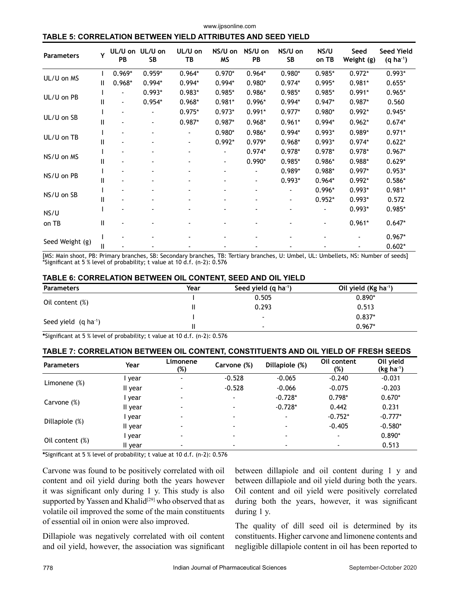## **TABLE 5: CORRELATION BETWEEN YIELD ATTRIBUTES AND SEED YIELD**

| <b>Parameters</b> |   | PB             | UL/U on UL/U on<br>SB | UL/U on<br>TВ  | NS/U on<br><b>MS</b> | NS/U on<br>PB | NS/U on<br>SB | NS/U<br>on TB | Seed<br>Weight (g) | <b>Seed Yield</b><br>$(q \, ha^{-1})$ |
|-------------------|---|----------------|-----------------------|----------------|----------------------|---------------|---------------|---------------|--------------------|---------------------------------------|
| UL/U on MS        |   | $0.969*$       | $0.959*$              | $0.964*$       | $0.970*$             | $0.964*$      | $0.980*$      | $0.985*$      | $0.972*$           | $0.993*$                              |
|                   | Ш | $0.968*$       | $0.994*$              | $0.994*$       | $0.994*$             | $0.980*$      | $0.974*$      | $0.995*$      | $0.981*$           | $0.655*$                              |
|                   |   |                | $0.993*$              | $0.983*$       | $0.985*$             | 0.986*        | $0.985*$      | $0.985*$      | $0.991*$           | $0.965*$                              |
| UL/U on PB        | Ш | $\overline{a}$ | $0.954*$              | $0.968*$       | $0.981*$             | 0.996*        | $0.994*$      | $0.947*$      | $0.987*$           | 0.560                                 |
|                   |   |                |                       | $0.975*$       | $0.973*$             | $0.991*$      | $0.977*$      | $0.980*$      | $0.992*$           | $0.945*$                              |
| UL/U on SB        | Ш |                |                       | $0.987*$       | $0.987*$             | $0.968*$      | $0.961*$      | $0.994*$      | $0.962*$           | $0.674*$                              |
| UL/U on TB        |   |                |                       |                | $0.980*$             | $0.986*$      | $0.994*$      | $0.993*$      | $0.989*$           | $0.971*$                              |
|                   | Ш |                |                       | $\blacksquare$ | $0.992*$             | $0.979*$      | $0.968*$      | $0.993*$      | $0.974*$           | $0.622*$                              |
|                   |   |                |                       | $\overline{a}$ | $\blacksquare$       | $0.974*$      | $0.978*$      | $0.978*$      | $0.978*$           | $0.967*$                              |
| NS/U on MS        | Ш |                |                       |                | $\blacksquare$       | $0.990*$      | $0.985*$      | $0.986*$      | $0.988*$           | $0.629*$                              |
|                   |   |                |                       |                |                      |               | $0.989*$      | 0.988*        | $0.997*$           | $0.953*$                              |
| NS/U on PB        | Ш |                |                       |                |                      |               | $0.993*$      | $0.964*$      | $0.992*$           | $0.586*$                              |
|                   |   |                |                       |                |                      |               |               | $0.996*$      | $0.993*$           | $0.981*$                              |
| NS/U on SB        | Ш |                |                       |                |                      |               |               | $0.952*$      | $0.993*$           | 0.572                                 |
| NS/U              |   |                |                       |                |                      |               |               |               | $0.993*$           | $0.985*$                              |
| on TB             | Ш |                |                       |                |                      |               |               |               | $0.961*$           | $0.647*$                              |
|                   |   |                |                       |                |                      |               |               |               |                    | $0.967*$                              |
| Seed Weight (g)   | Ш |                |                       |                |                      |               |               |               |                    | $0.602*$                              |

[MS: Main shoot, PB: Primary branches, SB: Secondary branches, TB: Tertiary branches, U: Umbel, UL: Umbellets, NS: Number of seeds] \*Significant at 5 % level of probability; t value at 10 d.f. (n-2): 0.576

#### **TABLE 6: CORRELATION BETWEEN OIL CONTENT, SEED AND OIL YIELD**

| <b>Parameters</b>        | Year | Seed yield $(q \text{ ha}^{-1})$ | Oil yield (Kg ha <sup>-1</sup> ) |  |  |
|--------------------------|------|----------------------------------|----------------------------------|--|--|
|                          |      | 0.505                            | $0.890*$                         |  |  |
| Oil content (%)          |      | 0.293                            | 0.513                            |  |  |
|                          |      | $\overline{\phantom{a}}$         | $0.837*$                         |  |  |
| Seed yield $(q ha^{-1})$ |      |                                  | $0.967*$                         |  |  |

**\***Significant at 5 % level of probability; t value at 10 d.f. (n-2): 0.576

#### **TABLE 7: CORRELATION BETWEEN OIL CONTENT, CONSTITUENTS AND OIL YIELD OF FRESH SEEDS**

| <b>Parameters</b> | Year    | Limonene<br>(%) | Carvone (%)              | Dillapiole (%)           | Oil content<br>(%) | Oil yield<br>$(kg ha-1)$ |
|-------------------|---------|-----------------|--------------------------|--------------------------|--------------------|--------------------------|
|                   | year    | ۰.              | $-0.528$                 | $-0.065$                 | $-0.240$           | $-0.031$                 |
| Limonene $(\%)$   | II year |                 | $-0.528$                 | $-0.066$                 | $-0.075$           | $-0.203$                 |
|                   | year    |                 | $\blacksquare$           | $-0.728*$                | $0.798*$           | $0.670*$                 |
| Carvone (%)       | II year |                 |                          | $-0.728*$                | 0.442              | 0.231                    |
|                   | vear    |                 | $\overline{\phantom{a}}$ | $\overline{\phantom{a}}$ | $-0.752*$          | $-0.777*$                |
| Dillapiole (%)    | II year |                 | $\blacksquare$           | $\blacksquare$           | $-0.405$           | $-0.580*$                |
|                   | year    |                 | $\blacksquare$           | $\blacksquare$           | ۰                  | $0.890*$                 |
| Oil content (%)   | II vear |                 |                          | $\overline{\phantom{a}}$ |                    | 0.513                    |

**\***Significant at 5 % level of probability; t value at 10 d.f. (n-2): 0.576

Carvone was found to be positively correlated with oil content and oil yield during both the years however it was significant only during 1 y. This study is also supported by Yassen and Khalid<sup>[29]</sup> who observed that as volatile oil improved the some of the main constituents of essential oil in onion were also improved.

Dillapiole was negatively correlated with oil content and oil yield, however, the association was significant between dillapiole and oil content during 1 y and between dillapiole and oil yield during both the years. Oil content and oil yield were positively correlated during both the years, however, it was significant during 1 y.

The quality of dill seed oil is determined by its constituents. Higher carvone and limonene contents and negligible dillapiole content in oil has been reported to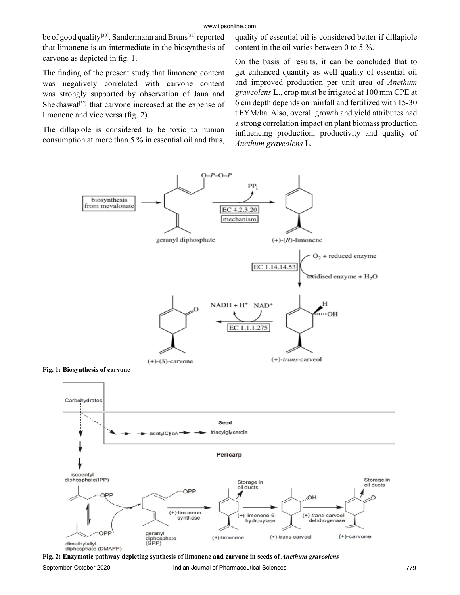be of good quality<sup>[30]</sup>. Sandermann and Bruns<sup>[31]</sup> reported that limonene is an intermediate in the biosynthesis of carvone as depicted in fig. 1.

The finding of the present study that limonene content was negatively correlated with carvone content was strongly supported by observation of Jana and Shekhawat<sup>[32]</sup> that carvone increased at the expense of limonene and vice versa (fig. 2).

The dillapiole is considered to be toxic to human consumption at more than 5 % in essential oil and thus, quality of essential oil is considered better if dillapiole content in the oil varies between 0 to 5 %.

On the basis of results, it can be concluded that to get enhanced quantity as well quality of essential oil and improved production per unit area of *Anethum graveolens* L., crop must be irrigated at 100 mm CPE at 6 cm depth depends on rainfall and fertilized with 15-30 t FYM/ha. Also, overall growth and yield attributes had a strong correlation impact on plant biomass production influencing production, productivity and quality of *Anethum graveolens* L.



September-October 2020 Indian Journal of Pharmaceutical Sciences 779 **Fig. 2: Enzymatic pathway depicting synthesis of limonene and carvone in seeds of** *Anethum graveolens*